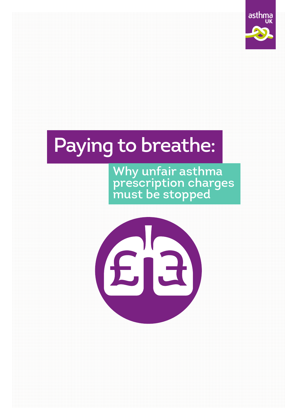

# Paying to breathe:

Why unfair asthma prescription charges must be stopped

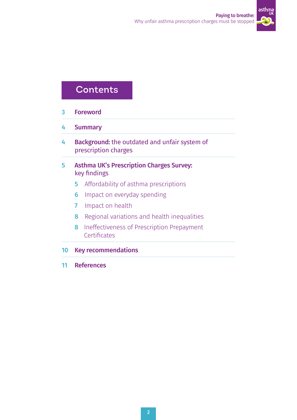

### **Contents**

- 3 Foreword
- 4 Summary
- 4 Background: the outdated and unfair system of prescription charges
- 5 Asthma UK's Prescription Charges Survey: key findings
	- **5** Affordability of asthma prescriptions
	- **6** Impact on everyday spending
	- 7 Impact on health
	- 8 Regional variations and health inequalities
	- 8 Ineffectiveness of Prescription Prepayment **Certificates**
- 10 Key recommendations
- 11 References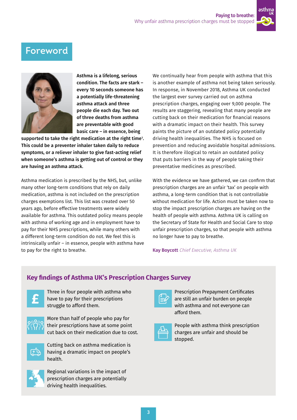

### Foreword



Asthma is a lifelong, serious condition. The facts are stark – every 10 seconds someone has a potentially life-threatening asthma attack and three people die each day. Two out of three deaths from asthma are preventable with good basic care – in essence, being

supported to take the right medication at the right time $^{\rm 1}.$ This could be a preventer inhaler taken daily to reduce symptoms, or a reliever inhaler to give fast-acting relief when someone's asthma is getting out of control or they are having an asthma attack.

Asthma medication is prescribed by the NHS, but, unlike many other long-term conditions that rely on daily medication, asthma is not included on the prescription charges exemptions list. This list was created over 50 years ago, before effective treatments were widely available for asthma. This outdated policy means people with asthma of working age and in employment have to pay for their NHS prescriptions, while many others with a different long-term condition do not. We feel this is intrinsically unfair – in essence, people with asthma have to pay for the right to breathe.

We continually hear from people with asthma that this is another example of asthma not being taken seriously. In response, in November 2018, Asthma UK conducted the largest ever survey carried out on asthma prescription charges, engaging over 9,000 people. The results are staggering, revealing that many people are cutting back on their medication for financial reasons with a dramatic impact on their health. This survey paints the picture of an outdated policy potentially driving health inequalities. The NHS is focused on prevention and reducing avoidable hospital admissions. It is therefore illogical to retain an outdated policy that puts barriers in the way of people taking their preventative medicines as prescribed.

With the evidence we have gathered, we can confirm that prescription charges are an unfair 'tax' on people with asthma, a long-term condition that is not controllable without medication for life. Action must be taken now to stop the impact prescription charges are having on the health of people with asthma. Asthma UK is calling on the Secretary of State for Health and Social Care to stop unfair prescription charges, so that people with asthma no longer have to pay to breathe.

Kay Boycott Chief Executive, Asthma UK

### **Key findings of Asthma UK's Prescription Charges Survey**



Three in four people with asthma who have to pay for their prescriptions struggle to afford them.



More than half of people who pay for their prescriptions have at some point cut back on their medication due to cost.



Cutting back on asthma medication is having a dramatic impact on people's health.



Regional variations in the impact of prescription charges are potentially driving health inequalities.

|--|

Prescription Prepayment Certificates are still an unfair burden on people with asthma and not everyone can afford them.



People with asthma think prescription charges are unfair and should be stopped.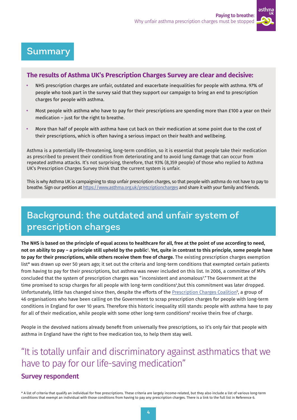

### Summary

#### **The results of Asthma UK's Prescription Charges Survey are clear and decisive:**

- **•** NHS prescription charges are unfair, outdated and exacerbate inequalities for people with asthma. 97% of people who took part in the survey said that they support our campaign to bring an end to prescription charges for people with asthma.
- **•** Most people with asthma who have to pay for their prescriptions are spending more than £100 a year on their medication – just for the right to breathe.
- **•** More than half of people with asthma have cut back on their medication at some point due to the cost of their prescriptions, which is often having a serious impact on their health and wellbeing.

Asthma is a potentially life-threatening, long-term condition, so it is essential that people take their medication as prescribed to prevent their condition from deteriorating and to avoid lung damage that can occur from repeated asthma attacks. It's not surprising, therefore, that 93% (8,359 people) of those who replied to Asthma UK's Prescription Charges Survey think that the current system is unfair.

This is why Asthma UK is campaigning to stop unfair prescription charges, so that people with asthma do not have to pay to breathe. Sign our petition at<https://www.asthma.org.uk/prescriptioncharges>and share it with your family and friends.

# Background: the outdated and unfair system of prescription charges

The NHS is based on the principle of equal access to healthcare for all, free at the point of use according to need, not on ability to pay – a principle still upheld by the public<sup>2</sup>. Yet, quite in contrast to this principle, some people have to pay for their prescriptions, while others receive them free of charge. The existing prescription charges exemption list\* was drawn up over 50 years ago; it set out the criteria and long-term conditions that exempted certain patients from having to pay for their prescriptions, but asthma was never included on this list. In 2006, a committee of MPs concluded that the system of prescription charges was "inconsistent and anomalous<sup>3</sup>." The Government at the time promised to scrap charges for all people with long-term conditions4 ,but this commitment was later dropped. Unfortunately, little has changed since then, despite the efforts of the <u>Prescription Charges Coalition</u>5, a group of 46 organisations who have been calling on the Government to scrap prescription charges for people with long-term conditions in England for over 10 years. Therefore this historic inequality still stands: people with asthma have to pay for all of their medication, while people with some other long-term conditions<sup>6</sup> receive theirs free of charge.

People in the devolved nations already benefit from universally free prescriptions, so it's only fair that people with asthma in England have the right to free medication too, to help them stay well.

# "It is totally unfair and discriminatory against asthmatics that we have to pay for our life-saving medication"

### Survey respondent

\* A list of criteria that qualify an individual for free prescriptions. These criteria are largely income-related, but they also include a list of various long-term conditions that exempt an individual with those conditions from having to pay any prescription charges. There is a link to the full list in Reference 6.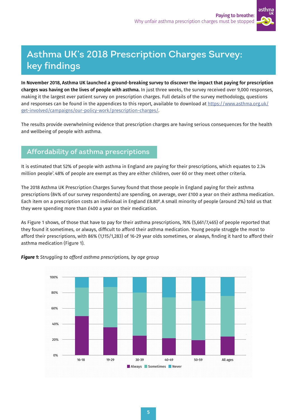

# Asthma UK's 2018 Prescription Charges Survey: key findings

In November 2018, Asthma UK launched a ground-breaking survey to discover the impact that paying for prescription charges was having on the lives of people with asthma. In just three weeks, the survey received over 9,000 responses, making it the largest ever patient survey on prescription charges. Full details of the survey methodology, questions and responses can be found in the appendices to this report, available to download at [https://www.asthma.org.uk/](https://www.asthma.org.uk/get-involved/campaigns/our-policy-work/prescription-charges/) [get-involved/campaigns/our-policy-work/prescription-charges/](https://www.asthma.org.uk/get-involved/campaigns/our-policy-work/prescription-charges/).

The results provide overwhelming evidence that prescription charges are having serious consequences for the health and wellbeing of people with asthma.

### Affordability of asthma prescriptions

It is estimated that 52% of people with asthma in England are paying for their prescriptions, which equates to 2.34 million people7 . 48% of people are exempt as they are either children, over 60 or they meet other criteria.

The 2018 Asthma UK Prescription Charges Survey found that those people in England paying for their asthma prescriptions (84% of our survey respondents) are spending, on average, over £100 a year on their asthma medication. Each item on a prescription costs an individual in England £8.808 . A small minority of people (around 2%) told us that they were spending more than £400 a year on their medication.

As Figure 1 shows, of those that have to pay for their asthma prescriptions, 76% (5,661/7,465) of people reported that they found it sometimes, or always, difficult to afford their asthma medication. Young people struggle the most to afford their prescriptions, with 86% (1,115/1,283) of 16-29 year olds sometimes, or always, finding it hard to afford their asthma medication (Figure 1).



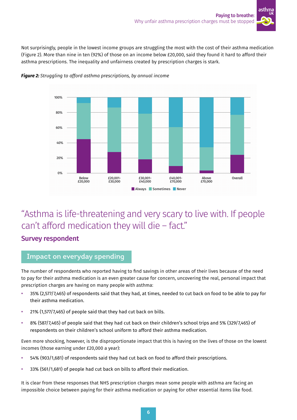

Not surprisingly, people in the lowest income groups are struggling the most with the cost of their asthma medication (Figure 2). More than nine in ten (92%) of those on an income below £20,000, said they found it hard to afford their asthma prescriptions. The inequality and unfairness created by prescription charges is stark.



*Figure 2: Struggling to afford asthma prescriptions, by annual income*

## "Asthma is life-threatening and very scary to live with. If people can't afford medication they will die – fact."

### Survey respondent

#### Impact on everyday spending

The number of respondents who reported having to find savings in other areas of their lives because of the need to pay for their asthma medication is an even greater cause for concern, uncovering the real, personal impact that prescription charges are having on many people with asthma:

- **•** 35% (2,577/7,465) of respondents said that they had, at times, needed to cut back on food to be able to pay for their asthma medication.
- **•** 21% (1,577/7,465) of people said that they had cut back on bills.
- **•** 8% (587/7,465) of people said that they had cut back on their children's school trips and 5% (329/7,465) of respondents on their children's school uniform to afford their asthma medication.

Even more shocking, however, is the disproportionate impact that this is having on the lives of those on the lowest incomes (those earning under £20,000 a year):

- **•** 54% (903/1,681) of respondents said they had cut back on food to afford their prescriptions.
- **•** 33% (561/1,681) of people had cut back on bills to afford their medication.

It is clear from these responses that NHS prescription charges mean some people with asthma are facing an impossible choice between paying for their asthma medication or paying for other essential items like food.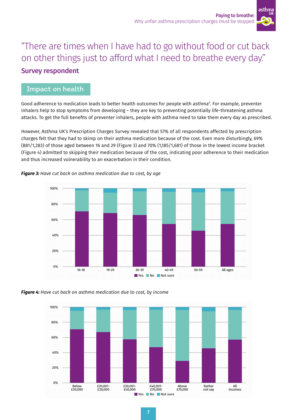

# "There are times when I have had to go without food or cut back on other things just to afford what I need to breathe every day." Survey respondent

### Impact on health

Good adherence to medication leads to better health outcomes for people with asthma9 . For example, preventer inhalers help to stop symptoms from developing – they are key to preventing potentially life-threatening asthma attacks. To get the full benefits of preventer inhalers, people with asthma need to take them every day as prescribed.

However, Asthma UK's Prescription Charges Survey revealed that 57% of all respondents affected by prescription charges felt that they had to skimp on their asthma medication because of the cost. Even more disturbingly, 69% (881/1,283) of those aged between 16 and 29 (Figure 3) and 70% (1,185/1,681) of those in the lowest income bracket (Figure 4) admitted to skipping their medication because of the cost, indicating poor adherence to their medication and thus increased vulnerability to an exacerbation in their condition.



*Figure 3: Have cut back on asthma medication due to cost, by age* 

*Figure 4: Have cut back on asthma medication due to cost, by income* 

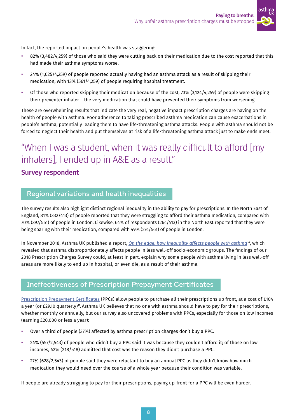

In fact, the reported impact on people's health was staggering:

- **•** 82% (3,482/4,259) of those who said they were cutting back on their medication due to the cost reported that this had made their asthma symptoms worse.
- **•** 24% (1,025/4,259) of people reported actually having had an asthma attack as a result of skipping their medication, with 13% (561/4,259) of people requiring hospital treatment.
- **•** Of those who reported skipping their medication because of the cost, 73% (3,124/4,259) of people were skipping their preventer inhaler – the very medication that could have prevented their symptoms from worsening.

These are overwhelming results that indicate the very real, negative impact prescription charges are having on the health of people with asthma. Poor adherence to taking prescribed asthma medication can cause exacerbations in people's asthma, potentially leading them to have life-threatening asthma attacks. People with asthma should not be forced to neglect their health and put themselves at risk of a life-threatening asthma attack just to make ends meet.

# "When I was a student, when it was really difficult to afford [my inhalers], I ended up in A&E as a result."

### Survey respondent

### Regional variations and health inequalities

The survey results also highlight distinct regional inequality in the ability to pay for prescriptions. In the North East of England, 81% (332/413) of people reported that they were struggling to afford their asthma medication, compared with 70% (397/561) of people in London. Likewise, 64% of respondents (264/413) in the North East reported that they were being sparing with their medication, compared with 49% (274/561) of people in London.

In November 2018, Asthma UK published a report, *[On the edge: how inequality affects people with asthma1](https://www.asthma.org.uk/globalassets/get-involved/external-affairs-campaigns/publications/health-inequality/auk-health-inequalities-final.pdf)0*, which revealed that asthma disproportionately affects people in less well-off socio-economic groups. The findings of our 2018 Prescription Charges Survey could, at least in part, explain why some people with asthma living in less well-off areas are more likely to end up in hospital, or even die, as a result of their asthma.

### Ineffectiveness of Prescription Prepayment Certificates

[Prescription Prepayment Certificates](https://www.nhsbsa.nhs.uk/help-nhs-prescription-costs/prescription-prepayment-certificates) (PPCs) allow people to purchase all their prescriptions up front, at a cost of £104 a year (or £29.10 quarterly)<sup>11</sup>. Asthma UK believes that no one with asthma should have to pay for their prescriptions, whether monthly or annually, but our survey also uncovered problems with PPCs, especially for those on low incomes (earning £20,000 or less a year):

- **•** Over a third of people (37%) affected by asthma prescription charges don't buy a PPC.
- **•** 24% (557/2,543) of people who didn't buy a PPC said it was because they couldn't afford it; of those on low incomes, 42% (218/518) admitted that cost was the reason they didn't purchase a PPC.
- **•** 27% (628/2,543) of people said they were reluctant to buy an annual PPC as they didn't know how much medication they would need over the course of a whole year because their condition was variable.

If people are already struggling to pay for their prescriptions, paying up-front for a PPC will be even harder.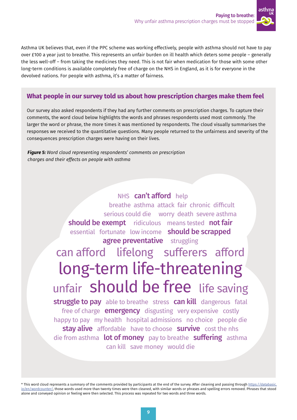

Asthma UK believes that, even if the PPC scheme was working effectively, people with asthma should not have to pay over £100 a year just to breathe. This represents an unfair burden on ill health which deters some people – generally the less well-off – from taking the medicines they need. This is not fair when medication for those with some other long-term conditions is available completely free of charge on the NHS in England, as it is for everyone in the devolved nations. For people with asthma, it's a matter of fairness.

### **What people in our survey told us about how prescription charges make them feel**

Our survey also asked respondents if they had any further comments on prescription charges. To capture their comments, the word cloud below highlights the words and phrases respondents used most commonly. The larger the word or phrase, the more times it was mentioned by respondents. The cloud visually summarises the responses we received to the quantitative questions. Many people returned to the unfairness and severity of the consequences prescription charges were having on their lives.

*Figure 5: Word cloud representing respondents' comments on prescription charges and their effects on people with asthma*

> NHS can't afford help breathe asthma attack fair chronic difficult serious could die worry death severe asthma should be exempt ridiculous means tested not fair essential fortunate low income **should be scrapped** agree preventative struggling can afford lifelong sufferers afford<br>long-term life-threatening unfair **should be free** life saving struggle to pay able to breathe stress can kill dangerous fatal free of charge **emergency** disgusting very expensive costly happy to pay my health hospital admissions no choice people die stay alive affordable have to choose survive cost the nhs die from asthma **lot of money** pay to breathe **suffering** asthma can kill save money would die

\* This word cloud represents a summary of the comments provided by participants at the end of the survey. After cleaning and passing through [https://databasic.](https://databasic.io/en/wordcounter/) [io/en/wordcounter/,](https://databasic.io/en/wordcounter/) those words used more than twenty times were then cleaned, with similar words or phrases and spelling errors removed. Phrases that stood alone and conveyed opinion or feeling were then selected. This process was repeated for two words and three words.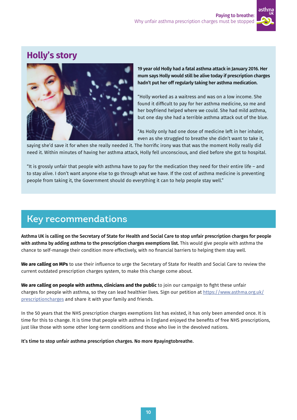

### **Holly's story**



19 year old Holly had a fatal asthma attack in January 2016. Her mum says Holly would still be alive today if prescription charges hadn't put her off regularly taking her asthma medication.

"Holly worked as a waitress and was on a low income. She found it difficult to pay for her asthma medicine, so me and her boyfriend helped where we could. She had mild asthma, but one day she had a terrible asthma attack out of the blue.

"As Holly only had one dose of medicine left in her inhaler, even as she struggled to breathe she didn't want to take it,

saying she'd save it for when she really needed it. The horrific irony was that was the moment Holly really did need it. Within minutes of having her asthma attack, Holly fell unconscious, and died before she got to hospital.

"It is grossly unfair that people with asthma have to pay for the medication they need for their entire life – and to stay alive. I don't want anyone else to go through what we have. If the cost of asthma medicine is preventing people from taking it, the Government should do everything it can to help people stay well."

### Key recommendations

Asthma UK is calling on the Secretary of State for Health and Social Care to stop unfair prescription charges for people with asthma by adding asthma to the prescription charges exemptions list. This would give people with asthma the chance to self-manage their condition more effectively, with no financial barriers to helping them stay well.

**We are calling on MPs** to use their influence to urge the Secretary of State for Health and Social Care to review the current outdated prescription charges system, to make this change come about.

**We are calling on people with asthma, clinicians and the public** to join our campaign to fight these unfair charges for people with asthma, so they can lead healthier lives. Sign our petition at [https://www.asthma.org.uk/](https://www.asthma.org.uk/prescriptioncharges) [prescriptioncharges](https://www.asthma.org.uk/prescriptioncharges) and share it with your family and friends.

In the 50 years that the NHS prescription charges exemptions list has existed, it has only been amended once. It is time for this to change. It is time that people with asthma in England enjoyed the benefits of free NHS prescriptions, just like those with some other long-term conditions and those who live in the devolved nations.

It's time to stop unfair asthma prescription charges. No more #payingtobreathe.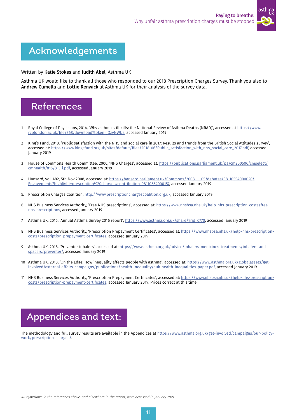

# Acknowledgements

Written by Katie Stokes and Judith Abel, Asthma UK

Asthma UK would like to thank all those who responded to our 2018 Prescription Charges Survey. Thank you also to Andrew Cumella and Lottie Renwick at Asthma UK for their analysis of the survey data.



- 1 Royal College of Physicians, 2014, 'Why asthma still kills: the National Review of Asthma Deaths (NRAD)', accessed at [https://www.](https://www.rcplondon.ac.uk/file/868/download?token=JQzyNWUs) [rcplondon.ac.uk/file/868/download?token=JQzyNWUs, accessed January 2019](https://www.rcplondon.ac.uk/file/868/download?token=JQzyNWUs)
- 2 King's Fund, 2018, 'Public satisfaction with the NHS and social care in 2017: Results and trends from the British Social Attitudes survey', accessed at: [https://www.kingsfund.org.uk/sites/default/files/2018-06/Public\\_satisfaction\\_with\\_nhs\\_social\\_care\\_2017.pdf,](https://www.kingsfund.org.uk/sites/default/files/2018-06/Public_satisfaction_with_nhs_social_care_2017.pdf) accessed January 2019
- 3 House of Commons Health Committee, 2006, 'NHS Charges', accessed at: [https://publications.parliament.uk/pa/cm200506/cmselect/](https://publications.parliament.uk/pa/cm200506/cmselect/cmhealth/815/815-i.pdf) [cmhealth/815/815-i.pdf](https://publications.parliament.uk/pa/cm200506/cmselect/cmhealth/815/815-i.pdf), accessed January 2019
- 4 Hansard, vol. 482, 5th Nov 2008, accessed at: https://hansard.parliament.uk/Commons/2008-11-05/debates/08110554000020/ Engagements?highlight=prescription%20charges#contribution-08110554000157, accessed January 2019
- 5. Prescription Charges Coalition, [http://www.prescriptionchargescoalition.org.uk,](http://www.prescriptionchargescoalition.org.uk) accessed January 2019
- 6 NHS Business Services Authority, 'Free NHS prescriptions', accessed at: [https://www.nhsbsa.nhs.uk/help-nhs-prescription-costs/free](https://www.nhsbsa.nhs.uk/help-nhs-prescription-costs/free-nhs-prescriptions)[nhs-prescriptions,](https://www.nhsbsa.nhs.uk/help-nhs-prescription-costs/free-nhs-prescriptions) accessed January 2019
- 7 Asthma UK, 2016, 'Annual Asthma Survey 2016 report', <https://www.asthma.org.uk/share/?rid=6770>, accessed January 2019
- 8 NHS Business Services Authority, 'Prescription Prepayment Certificates', accessed at: [https://www.nhsbsa.nhs.uk/help-nhs-prescription](https://www.nhsbsa.nhs.uk/help-nhs-prescription-costs/prescription-prepayment-certificates)[costs/prescription-prepayment-certificates](https://www.nhsbsa.nhs.uk/help-nhs-prescription-costs/prescription-prepayment-certificates), accessed January 2019
- 9 Asthma UK, 2018, 'Preventer inhalers', accessed at: [https://www.asthma.org.uk/advice/inhalers-medicines-treatments/inhalers-and](https://www.asthma.org.uk/advice/inhalers-medicines-treatments/inhalers-and-spacers/preventer/)[spacers/preventer/,](https://www.asthma.org.uk/advice/inhalers-medicines-treatments/inhalers-and-spacers/preventer/) accessed January 2019
- 10 Asthma UK, 2018, 'On the Edge: How inequality affects people with asthma', accessed at: [https://www.asthma.org.uk/globalassets/get](https://www.asthma.org.uk/globalassets/get-involved/external-affairs-campaigns/publications/health-inequality/auk-health-inequalities-paper.pdf)[involved/external-affairs-campaigns/publications/health-inequality/auk-health-inequalities-paper.pdf,](https://www.asthma.org.uk/globalassets/get-involved/external-affairs-campaigns/publications/health-inequality/auk-health-inequalities-paper.pdf) accessed January 2019
- 11 NHS Business Services Authority, 'Prescription Prepayment Certificates', accessed at: [https://www.nhsbsa.nhs.uk/help-nhs-prescription](https://www.nhsbsa.nhs.uk/help-nhs-prescription-costs/prescription-prepayment-certificates)[costs/prescription-prepayment-certificates](https://www.nhsbsa.nhs.uk/help-nhs-prescription-costs/prescription-prepayment-certificates), accessed January 2019. Prices correct at this time.

# Appendices and text:

The methodology and full survey results are available in the Appendices at [https://www.asthma.org.uk/get-involved/campaigns/our-policy](https://www.asthma.org.uk/get-involved/campaigns/our-policy-work/prescription-charges/)[work/prescription-charges/.](https://www.asthma.org.uk/get-involved/campaigns/our-policy-work/prescription-charges/)

All hyperlinks in the references above, and elsewhere in the report, were accessed in January 2019.